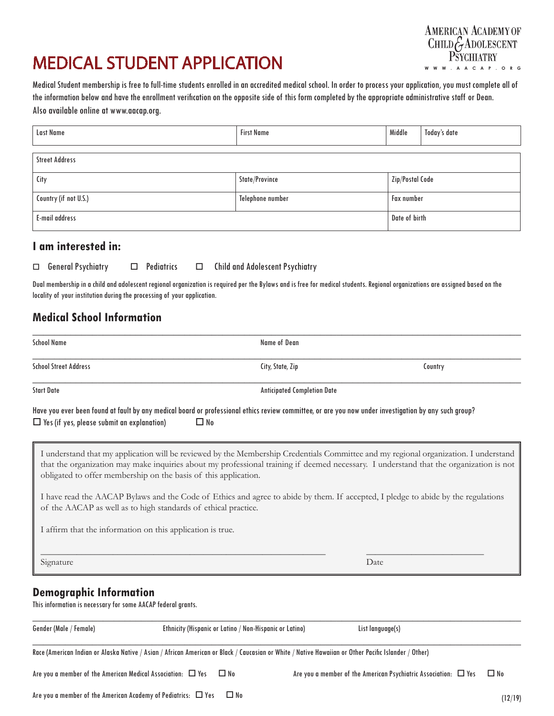# MEDICAL STUDENT APPLICATION



Medical Student membership is free to full-time students enrolled in an accredited medical school. In order to process your application, you must complete all of the information below and have the enrollment verification on the opposite side of this form completed by the appropriate administrative staff or Dean. Also available online at www.aacap.org.

| Last Name             | <b>First Name</b> | Middle            | Today's date |
|-----------------------|-------------------|-------------------|--------------|
| <b>Street Address</b> |                   |                   |              |
| City                  | State/Province    | Zip/Postal Code   |              |
| Country (if not U.S.) | Telephone number  | <b>Fax number</b> |              |
| <b>E-mail address</b> |                   | Date of birth     |              |

### **I am interested in:**

|  | $\Box$ General Psychiatry |  | $\Box$ Pediatrics |  | $\Box$ Child and Adolescent Psychiatry |
|--|---------------------------|--|-------------------|--|----------------------------------------|
|--|---------------------------|--|-------------------|--|----------------------------------------|

Dual membership in a child and adolescent regional organization is required per the Bylaws and is free for medical students. Regional organizations are assigned based on the locality of your institution during the processing of your application.

## **Medical School Information**

| <b>School Name</b>                                                                             | Name of Dean                                                                                                                                                                                                                                                                                                                                                                                                                                                                                                                                             |                                    |  |  |  |
|------------------------------------------------------------------------------------------------|----------------------------------------------------------------------------------------------------------------------------------------------------------------------------------------------------------------------------------------------------------------------------------------------------------------------------------------------------------------------------------------------------------------------------------------------------------------------------------------------------------------------------------------------------------|------------------------------------|--|--|--|
| <b>School Street Address</b>                                                                   | City, State, Zip                                                                                                                                                                                                                                                                                                                                                                                                                                                                                                                                         | Country                            |  |  |  |
| <b>Start Date</b>                                                                              |                                                                                                                                                                                                                                                                                                                                                                                                                                                                                                                                                          | <b>Anticipated Completion Date</b> |  |  |  |
| $\Box$ Yes (if yes, please submit an explanation)                                              | Have you ever been found at fault by any medical board or professional ethics review committee, or are you now under investigation by any such group?<br>$\Box$ No                                                                                                                                                                                                                                                                                                                                                                                       |                                    |  |  |  |
|                                                                                                | I understand that my application will be reviewed by the Membership Credentials Committee and my regional organization. I understand<br>that the organization may make inquiries about my professional training if deemed necessary. I understand that the organization is not<br>obligated to offer membership on the basis of this application.<br>I have read the AACAP Bylaws and the Code of Ethics and agree to abide by them. If accepted, I pledge to abide by the regulations<br>of the AACAP as well as to high standards of ethical practice. |                                    |  |  |  |
|                                                                                                | I affirm that the information on this application is true.                                                                                                                                                                                                                                                                                                                                                                                                                                                                                               |                                    |  |  |  |
| Signature                                                                                      |                                                                                                                                                                                                                                                                                                                                                                                                                                                                                                                                                          | Date                               |  |  |  |
| <b>Demographic Information</b><br>This information is necessary for some AACAP federal grants. |                                                                                                                                                                                                                                                                                                                                                                                                                                                                                                                                                          |                                    |  |  |  |
| Gender (Male / Female)                                                                         | Ethnicity (Hispanic or Latino / Non-Hispanic or Latino)                                                                                                                                                                                                                                                                                                                                                                                                                                                                                                  | List language(s)                   |  |  |  |

 $\_$  , and the set of the set of the set of the set of the set of the set of the set of the set of the set of the set of the set of the set of the set of the set of the set of the set of the set of the set of the set of th

Race (American Indian or Alaska Native / Asian / African American or Black / Caucasian or White / Native Hawaiian or Other Pacific Islander / Other)

Are you a member of the American Medical Association:  $\Box$  Yes  $\Box$  No  $\Box$  Are you a member of the American Psychiatric Association:  $\Box$  Yes  $\Box$  No